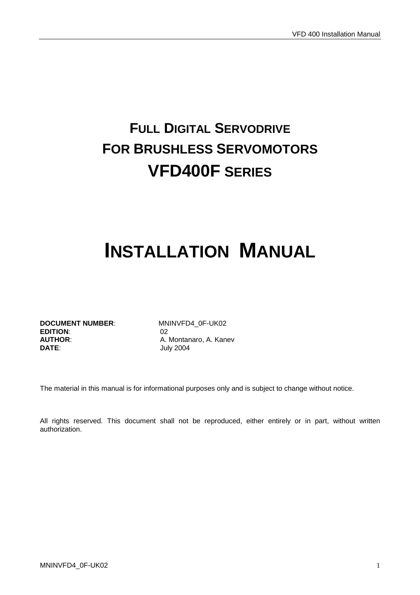# **FULL DIGITAL SERVODRIVE FOR BRUSHLESS SERVOMOTORS VFD400F SERIES**

# **INSTALLATION MANUAL**

**DOCUMENT NUMBER:** MNINVFD4\_0F-UK02 **EDITION**: 02 **AUTHOR:** A. Montanaro, A. Kanev<br> **DATE**<br> **DATE** 

**DATE**: July 2004

The material in this manual is for informational purposes only and is subject to change without notice.

All rights reserved. This document shall not be reproduced, either entirely or in part, without written authorization.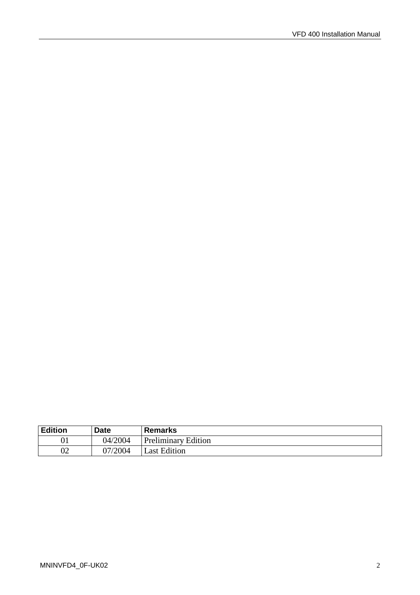| <b>Edition</b> | <b>Date</b> | <b>Remarks</b>             |
|----------------|-------------|----------------------------|
|                | 04/2004     | <b>Preliminary Edition</b> |
| 02             | 07/2004     | Last Edition               |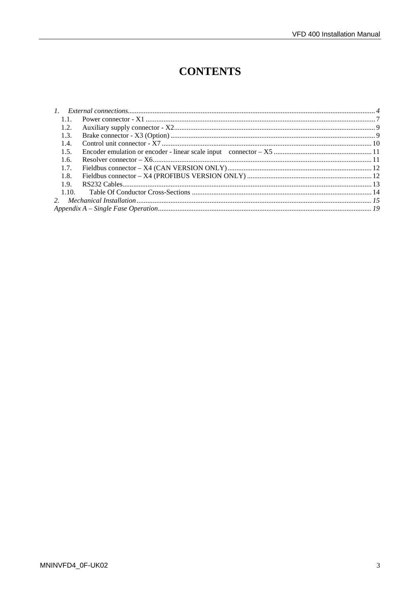$\overline{a}$ 

## **CONTENTS**

| 1.1.  |  |
|-------|--|
| 1.2.  |  |
| 1.3.  |  |
| 1.4.  |  |
| 1.5.  |  |
| 1.6.  |  |
| 1.7.  |  |
| 1.8.  |  |
| 1.9.  |  |
| 1.10. |  |
|       |  |
|       |  |
|       |  |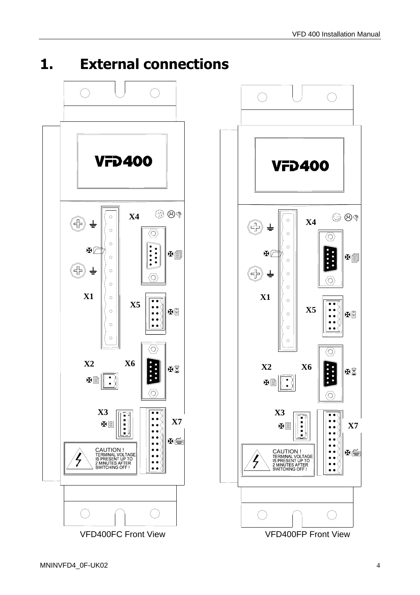1. External connections



图画

田冨

图

⊭∰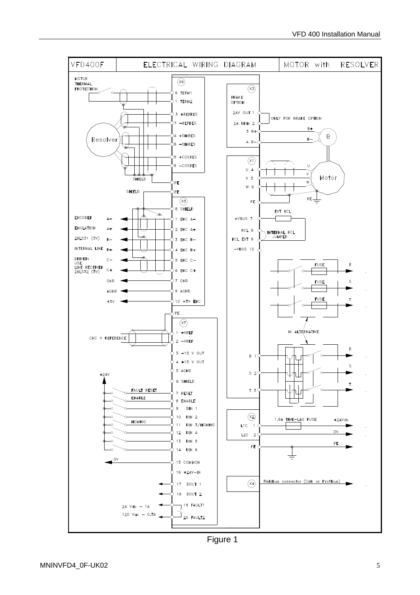

Figure 1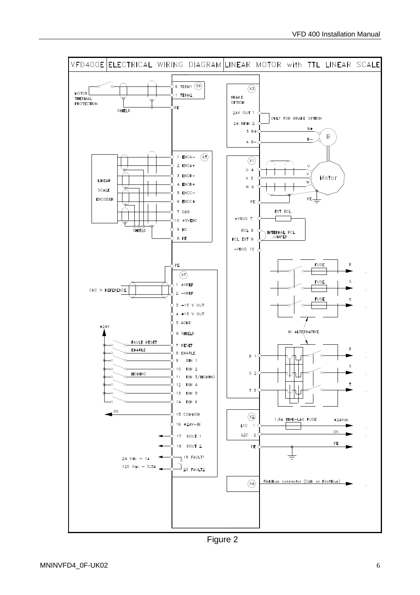

Figure 2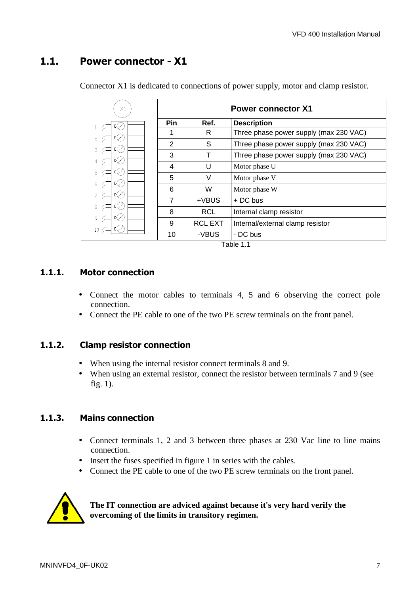#### 1.1. Power connector - X1

| $\times 1$                | <b>Power connector X1</b> |                |                                        |  |  |
|---------------------------|---------------------------|----------------|----------------------------------------|--|--|
|                           | <b>Pin</b>                | Ref.           | <b>Description</b>                     |  |  |
| 5                         |                           | R              | Three phase power supply (max 230 VAC) |  |  |
| Ⅱ⟨∕<br>3                  | $\overline{2}$            | S              | Three phase power supply (max 230 VAC) |  |  |
| 吖                         | 3                         | Т              | Three phase power supply (max 230 VAC) |  |  |
| 叫/                        | 4                         | U              | Motor phase U                          |  |  |
| 5<br>吖                    | 5                         | V              | Motor phase V                          |  |  |
| ∏√                        | 6                         | W              | Motor phase W                          |  |  |
| $\mathbb{I}(\mathscr{S})$ | 7                         | +VBUS          | + DC bus                               |  |  |
| 8                         | 8                         | <b>RCL</b>     | Internal clamp resistor                |  |  |
| $\mathbb{I}(\mathscr{S})$ | 9                         | <b>RCL EXT</b> | Internal/external clamp resistor       |  |  |
|                           | 10                        | -VBUS          | - DC bus                               |  |  |

Connector X1 is dedicated to connections of power supply, motor and clamp resistor.

Table 1.1

#### 1.1.1. Motor connection

- Connect the motor cables to terminals 4, 5 and 6 observing the correct pole connection.
- Connect the PE cable to one of the two PE screw terminals on the front panel.

#### 1.1.2. Clamp resistor connection

- When using the internal resistor connect terminals 8 and 9.
- When using an external resistor, connect the resistor between terminals 7 and 9 (see fig. 1).

#### 1.1.3. Mains connection

- Connect terminals 1, 2 and 3 between three phases at 230 Vac line to line mains connection.
- Insert the fuses specified in figure 1 in series with the cables.
- Connect the PE cable to one of the two PE screw terminals on the front panel.



#### **The IT connection are adviced against because it's very hard verify the overcoming of the limits in transitory regimen.**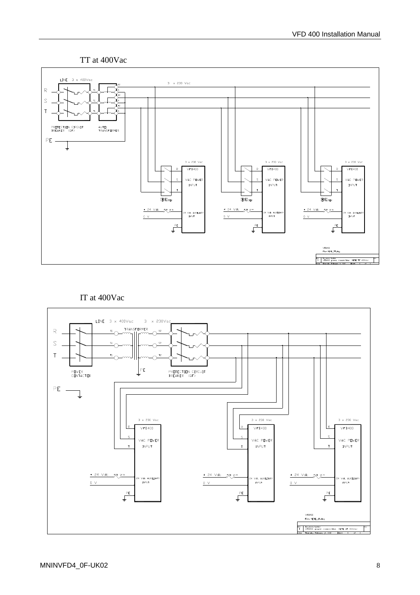#### TT at 400Vac



#### IT at 400Vac

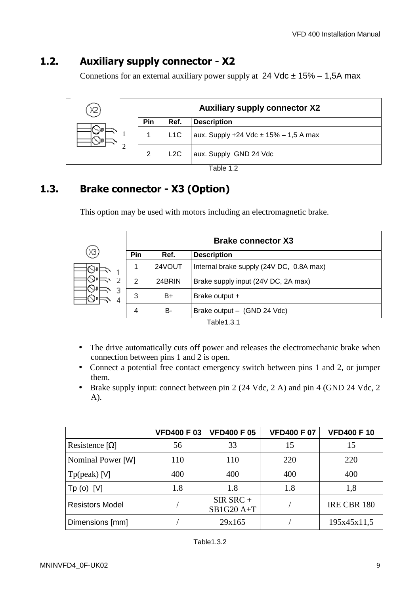### 1.2. Auxiliary supply connector - X2

Connetions for an external auxiliary power supply at  $24$  Vdc  $\pm$  15% – 1,5A max

| Χ2 |     |      | <b>Auxiliary supply connector X2</b>      |
|----|-----|------|-------------------------------------------|
|    | Pin | Ref. | <b>Description</b>                        |
|    |     | L1C  | aux. Supply +24 Vdc $\pm$ 15% - 1,5 A max |
|    | 2   | L2C  | aux. Supply GND 24 Vdc                    |

Table 1.2

### 1.3. Brake connector - X3 (Option)

This option may be used with motors including an electromagnetic brake.

|                   |                |        | <b>Brake connector X3</b>                |
|-------------------|----------------|--------|------------------------------------------|
| XЗ                | Pin            | Ref.   | <b>Description</b>                       |
| $\mathbb{Q}_{01}$ | 1              | 24VOUT | Internal brake supply (24V DC, 0.8A max) |
|                   | $\overline{2}$ | 24BRIN | Brake supply input (24V DC, 2A max)      |
| З                 | 3              | B+     | Brake output +                           |
|                   | 4              | B-     | Brake output - (GND 24 Vdc)              |

Table1.3.1

- The drive automatically cuts off power and releases the electromechanic brake when connection between pins 1 and 2 is open.
- Connect a potential free contact emergency switch between pins 1 and 2, or jumper them.
- Brake supply input: connect between pin 2 (24 Vdc, 2 A) and pin 4 (GND 24 Vdc, 2 A).

|                        | <b>VFD400 F03</b> | <b>VFD400 F 05</b>         | <b>VFD400 F 07</b> | <b>VFD400 F10</b> |
|------------------------|-------------------|----------------------------|--------------------|-------------------|
| Resistence $[\Omega]$  | 56                | 33                         | 15                 | 15                |
| Nominal Power [W]      | 110               | 110                        | 220                | 220               |
| Tp(peak) [V]           | 400               | 400                        | 400                | 400               |
| Tp (o) [V]             | 1.8               | 1.8                        | 1.8                | 1,8               |
| <b>Resistors Model</b> |                   | $SIR$ SRC +<br>$SB1G20A+T$ |                    | IRE CBR 180       |
| Dimensions [mm]        |                   | 29x165                     |                    | 195x45x11,5       |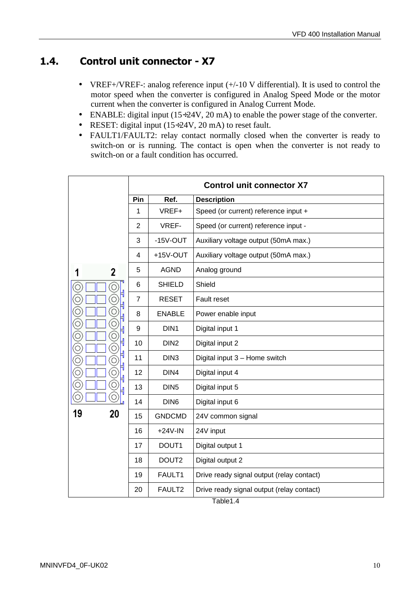#### 1.4. Control unit connector - X7

- VREF+/VREF-: analog reference input  $(+/-10$  V differential). It is used to control the motor speed when the converter is configured in Analog Speed Mode or the motor current when the converter is configured in Analog Current Mode.
- ENABLE: digital input  $(15\div 24V, 20 \text{ mA})$  to enable the power stage of the converter.
- RESET: digital input (15÷24V, 20 mA) to reset fault.
- FAULT1/FAULT2: relay contact normally closed when the converter is ready to switch-on or is running. The contact is open when the converter is not ready to switch-on or a fault condition has occurred.

|                   | <b>Control unit connector X7</b> |                   |                                           |  |  |
|-------------------|----------------------------------|-------------------|-------------------------------------------|--|--|
|                   | Pin                              | Ref.              | <b>Description</b>                        |  |  |
|                   | 1                                | VREF+             | Speed (or current) reference input +      |  |  |
|                   | $\overline{2}$                   | VREF-             | Speed (or current) reference input -      |  |  |
|                   | 3                                | $-15V-OUT$        | Auxiliary voltage output (50mA max.)      |  |  |
|                   | 4                                | +15V-OUT          | Auxiliary voltage output (50mA max.)      |  |  |
| 2<br>1            | 5                                | <b>AGND</b>       | Analog ground                             |  |  |
| 0                 | 6                                | <b>SHIELD</b>     | Shield                                    |  |  |
|                   | $\overline{7}$                   | <b>RESET</b>      | Fault reset                               |  |  |
| g                 | 8                                | <b>ENABLE</b>     | Power enable input                        |  |  |
| O                 | 9                                | DIN <sub>1</sub>  | Digital input 1                           |  |  |
| Q<br>Õ            | 10                               | DIN <sub>2</sub>  | Digital input 2                           |  |  |
| Õ                 | 11                               | DIN <sub>3</sub>  | Digital input 3 - Home switch             |  |  |
| $\circledcirc$    | 12                               | DIN4              | Digital input 4                           |  |  |
| $\widehat{\odot}$ | 13                               | DIN <sub>5</sub>  | Digital input 5                           |  |  |
| O<br>$\circ$      | 14                               | DIN <sub>6</sub>  | Digital input 6                           |  |  |
| 19<br>20          | 15                               | <b>GNDCMD</b>     | 24V common signal                         |  |  |
|                   | 16                               | $+24V$ -IN        | 24V input                                 |  |  |
|                   | 17                               | DOUT1             | Digital output 1                          |  |  |
|                   | 18                               | DOUT <sub>2</sub> | Digital output 2                          |  |  |
|                   | 19                               | FAULT1            | Drive ready signal output (relay contact) |  |  |
|                   | 20                               | FAULT2            | Drive ready signal output (relay contact) |  |  |

Table1.4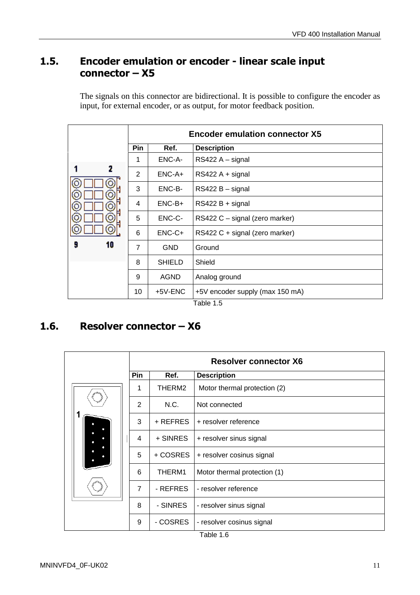#### 1.5. Encoder emulation or encoder - linear scale input connector – X5

The signals on this connector are bidirectional. It is possible to configure the encoder as input, for external encoder, or as output, for motor feedback position.

|    | <b>Encoder emulation connector X5</b> |               |                                 |  |  |
|----|---------------------------------------|---------------|---------------------------------|--|--|
|    | <b>Pin</b>                            | Ref.          | <b>Description</b>              |  |  |
|    |                                       | ENC-A-        | $RS422A - signal$               |  |  |
| 2  | 2                                     | $ENC-A+$      | $RS422A + signal$               |  |  |
|    | 3                                     | ENC-B-        | RS422 B - signal                |  |  |
|    | 4                                     | $ENC-B+$      | RS422 B + signal                |  |  |
|    | 5                                     | ENC-C-        | RS422 C - signal (zero marker)  |  |  |
|    | 6                                     | $ENC-C+$      | RS422 C + signal (zero marker)  |  |  |
| 10 | $\overline{7}$                        | <b>GND</b>    | Ground                          |  |  |
|    | 8                                     | <b>SHIELD</b> | Shield                          |  |  |
|    | 9                                     | <b>AGND</b>   | Analog ground                   |  |  |
|    | 10                                    | +5V-ENC       | +5V encoder supply (max 150 mA) |  |  |
|    |                                       |               | Table 1.5                       |  |  |

#### 1.6. Resolver connector – X6

|  |  | <b>Resolver connector X6</b> |          |                              |  |
|--|--|------------------------------|----------|------------------------------|--|
|  |  | Pin                          | Ref.     | <b>Description</b>           |  |
|  |  | 1                            | THERM2   | Motor thermal protection (2) |  |
|  |  | $\overline{2}$               | N.C.     | Not connected                |  |
|  |  | 3                            | + REFRES | + resolver reference         |  |
|  |  | 4                            | + SINRES | + resolver sinus signal      |  |
|  |  | 5                            | + COSRES | + resolver cosinus signal    |  |
|  |  | 6                            | THERM1   | Motor thermal protection (1) |  |
|  |  | $\overline{7}$               | - REFRES | - resolver reference         |  |
|  |  | 8                            | - SINRES | - resolver sinus signal      |  |
|  |  | 9                            | - COSRES | - resolver cosinus signal    |  |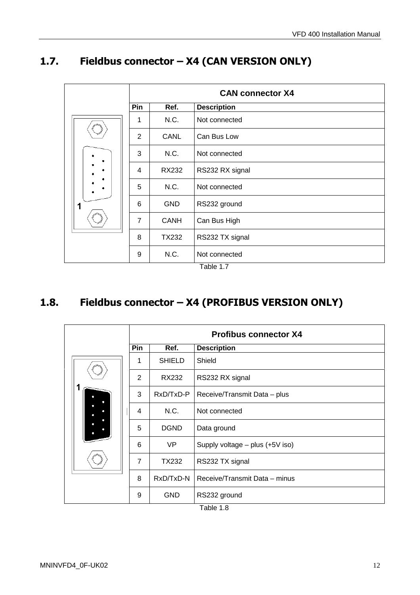## 1.7. Fieldbus connector – X4 (CAN VERSION ONLY)

|  |   |                |             | <b>CAN connector X4</b> |
|--|---|----------------|-------------|-------------------------|
|  |   | Pin            | Ref.        | <b>Description</b>      |
|  |   | 1              | N.C.        | Not connected           |
|  |   | $\overline{2}$ | <b>CANL</b> | Can Bus Low             |
|  |   | 3              | N.C.        | Not connected           |
|  |   | $\overline{4}$ | RX232       | RS232 RX signal         |
|  |   | 5              | N.C.        | Not connected           |
|  | 1 | 6              | <b>GND</b>  | RS232 ground            |
|  |   | 7              | <b>CANH</b> | Can Bus High            |
|  |   | 8              | TX232       | RS232 TX signal         |
|  |   | 9              | N.C.        | Not connected           |

Table 1.7

## 1.8. Fieldbus connector – X4 (PROFIBUS VERSION ONLY)

|  |  |                |               | <b>Profibus connector X4</b>      |
|--|--|----------------|---------------|-----------------------------------|
|  |  | Pin            | Ref.          | <b>Description</b>                |
|  |  | 1              | <b>SHIELD</b> | Shield                            |
|  |  | $\overline{2}$ | RX232         | RS232 RX signal                   |
|  |  | 3              | RxD/TxD-P     | Receive/Transmit Data - plus      |
|  |  | 4              | N.C.          | Not connected                     |
|  |  | 5              | <b>DGND</b>   | Data ground                       |
|  |  | 6              | VP            | Supply voltage $-$ plus (+5V iso) |
|  |  | $\overline{7}$ | TX232         | RS232 TX signal                   |
|  |  | 8              | RxD/TxD-N     | Receive/Transmit Data - minus     |
|  |  | 9              | <b>GND</b>    | RS232 ground                      |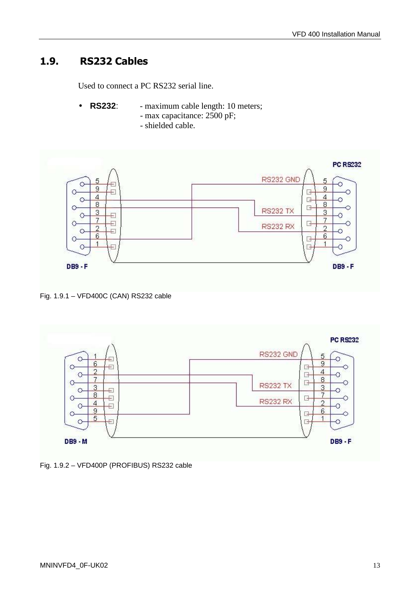#### 1.9. RS232 Cables

Used to connect a PC RS232 serial line.

- **RS232:** maximum cable length: 10 meters; - max capacitance: 2500 pF;
	- shielded cable.



Fig. 1.9.1 – VFD400C (CAN) RS232 cable



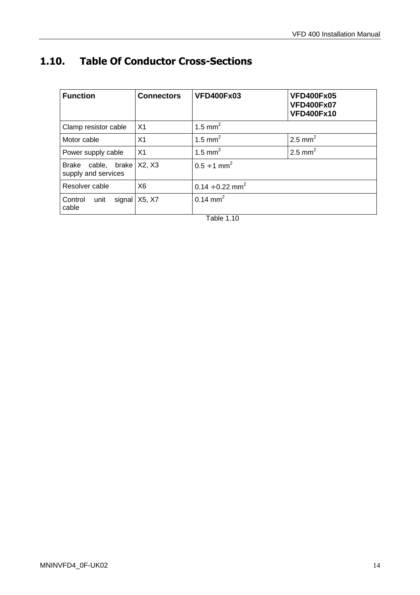## 1.10. Table Of Conductor Cross-Sections

| <b>Function</b>                                  | <b>Connectors</b> | <b>VFD400Fx03</b>                | <b>VFD400Fx05</b><br><b>VFD400Fx07</b><br><b>VFD400Fx10</b> |
|--------------------------------------------------|-------------------|----------------------------------|-------------------------------------------------------------|
| Clamp resistor cable                             | X <sub>1</sub>    | 1.5 mm <sup>2</sup>              |                                                             |
| Motor cable                                      | X1                | 1.5 mm <sup>2</sup>              | 2.5 mm <sup>2</sup>                                         |
| Power supply cable                               | X <sub>1</sub>    | 1.5 mm <sup>2</sup>              | 2.5 mm <sup>2</sup>                                         |
| Brake cable, brake X2, X3<br>supply and services |                   | $0.5 \div 1 \text{ mm}^2$        |                                                             |
| Resolver cable                                   | X <sub>6</sub>    | $0.14 \div 0.22$ mm <sup>2</sup> |                                                             |
| signal<br>Control<br>unit<br>cable               | X5, X7            | $0.14 \text{ mm}^2$              |                                                             |

Table 1.10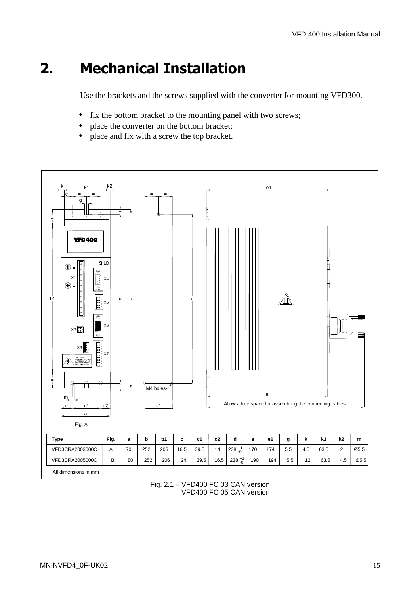## 2. Mechanical Installation

Use the brackets and the screws supplied with the converter for mounting VFD300.

- fix the bottom bracket to the mounting panel with two screws;
- place the converter on the bottom bracket;
- place and fix with a screw the top bracket.



Fig. 2.1 – VFD400 FC 03 CAN version VFD400 FC 05 CAN version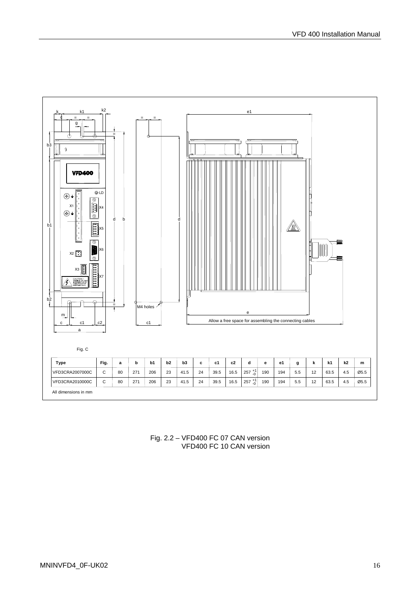

Fig. 2.2 – VFD400 FC 07 CAN version VFD400 FC 10 CAN version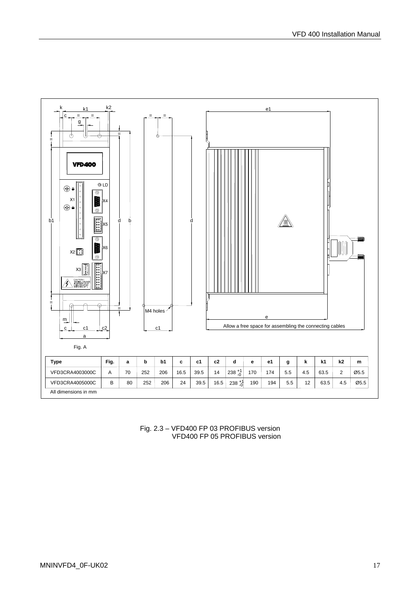

Fig. 2.3 – VFD400 FP 03 PROFIBUS version VFD400 FP 05 PROFIBUS version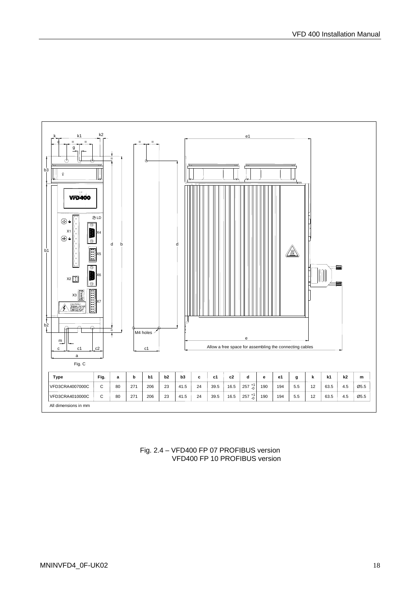

Fig. 2.4 – VFD400 FP 07 PROFIBUS version VFD400 FP 10 PROFIBUS version